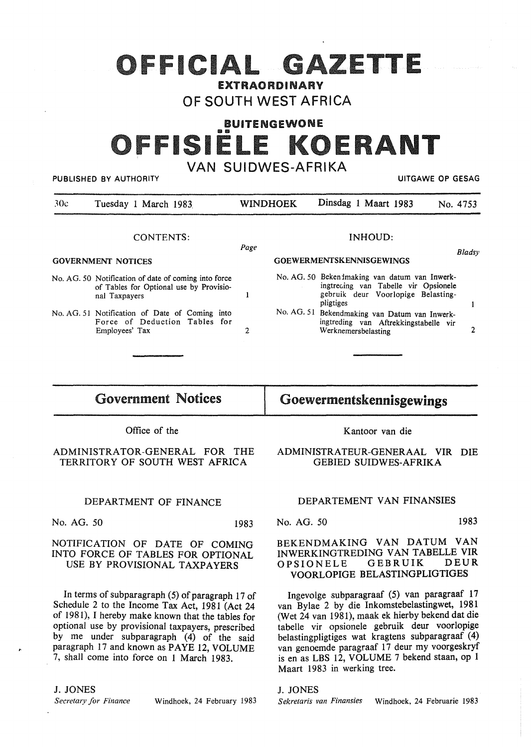# OFFICIAL GAZETTE

## **EXTRAO RDINARY** OF SOUTH WEST AFRICA

# BUITENGEWONE -111 OFFISIELE KOERANT VAN SUIDWES-AFRIKA

PUBLISHED BY AUTHORITY **AUTHORITY EXAGGE OF SESAGGE AT A STATE OF SESAGGE OF GESAGGE AT A STATE OF GESAGGE AT A STATE OF GESAGGE AT A STATE OF GESAGGE AT A STATE OF GESAGGE AT A STATE OF GESAGGE AT A STATE OF GESAGGE AT** 

| 30c                       | Tuesday 1 March 1983                                                                                             | <b>WINDHOEK</b> |                                                    | Dinsdag 1 Maart 1983                                                                                                                      | No. 4753 |
|---------------------------|------------------------------------------------------------------------------------------------------------------|-----------------|----------------------------------------------------|-------------------------------------------------------------------------------------------------------------------------------------------|----------|
|                           | CONTENTS:                                                                                                        |                 | INHOUD:<br>Page<br><b>GOEWERMENTSKENNISGEWINGS</b> |                                                                                                                                           |          |
| <b>GOVERNMENT NOTICES</b> |                                                                                                                  |                 |                                                    |                                                                                                                                           |          |
|                           | No. AG. 50 Notification of date of coming into force<br>of Tables for Optional use by Provisio-<br>nal Taxpayers |                 |                                                    | No. AG. 50 Beken imaking van datum van Inwerk-<br>ingtrecing van Tabelle vir Opsionele<br>gebruik deur Voorlopige Belasting-<br>pligtiges |          |
|                           | No. AG. 51 Notification of Date of Coming into<br>Force of Deduction Tables for<br>Employees' Tax                | 2               |                                                    | No. AG. 51 Bekendmaking van Datum van Inwerk-<br>ingtreding van Aftrekkingstabelle vir<br>Werknemersbelasting                             |          |
|                           |                                                                                                                  |                 |                                                    |                                                                                                                                           |          |

Government Notices

# Goewermentskennisgewings

Office of the

#### ADMINISTRATOR-GENERAL FOR THE TERRITORY OF SOUTH WEST AFRICA

#### DEPARTMENT OF FINANCE

No. AG. 50 1983

#### NOTIFICATION OF DATE OF COMING INTO FORCE OF TABLES FOR OPTIONAL USE BY PROVISIONAL TAXPAYERS

In terms of subparagraph  $(5)$  of paragraph 17 of Schedule 2 to the Income Tax Act, 1981 (Act 24 of 1981), I hereby make known that the tables for optional use by provisional taxpayers, prescribed by me under subparagraph (4) of the said paragraph 17 and known as PAYE 12, VOLUME 7, shall come into force on 1 March 1983.

### J. JONES

*Secretary for Finance* Windhoek, 24 February 1983

Kantoor van die

ADMINISTRATEUR-GENERAAL VIR DIE GEBIED SUIDWES-AFRIKA

#### DEPARTEMENT VAN FINANSIES

No. AG. 50 1983

#### **BEKENDMAKING VAN DATUM VAN INWERKINGTREDING VAN TABELLE VIR OPSIONELE VOORLOPIGE BELASTINGPLIGTIGES**

Ingevolge subparagraaf (5) van paragraaf 17 van Bylae 2 by die Inkomstebelastingwet, 1981 (Wet 24 van 1981), maak ek hierby bekend dat die tabelle vir opsionele gebruik deur voorlopige belastingpligtiges wat kragtens subparagraaf (4) van genoemde paragraaf 17 deur my voorgeskryf is en as LBS 12, VOLUME 7 bekend staan, op 1 Maart 1983 in werking tree.

J. JONES

*Sekretaris van Finansies* Windhoek, 24 Februarie 1983